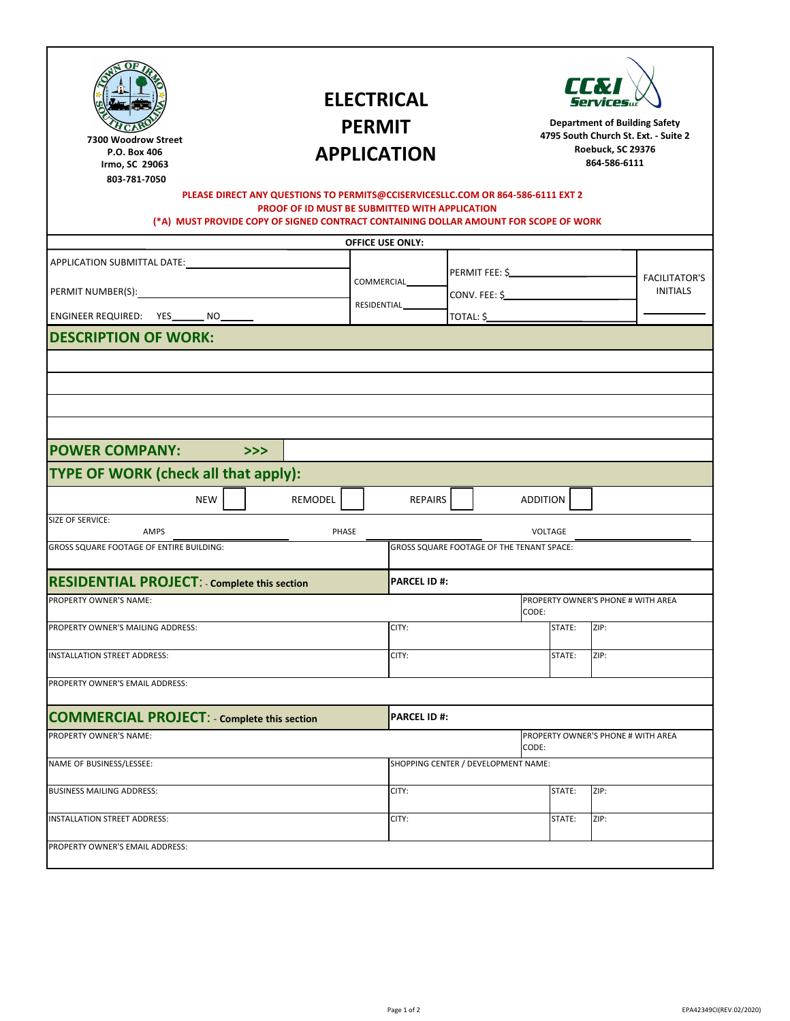## **ELECTRICAL PERMIT APPLICATION**



**Department of Building Safety 4795 South Church St. Ext. ‐ Suite 2 Roebuck, SC 29376 864‐586‐6111**

**12 West Main Street Wi iamston, SC 29697**  $864 - 847 - 7473$ 

## **PLEASE DIRECT ANY QUESTIONS TO PERMITS@CCISERVICESLLC.COM OR 864-586-6111 EXT 2 PROOF OF ID MUST BE SUBMITTED WITH APPLICATION**

**(\*A) MUST PROVIDE COPY OF SIGNED CONTRACT CONTAINING DOLLAR AMOUNT FOR SCOPE OF WORK**

|                                                                                                  |    |         |       | <b>OFFICE USE ONLY:</b>                     |               |                                              |        |                                    |                                         |  |
|--------------------------------------------------------------------------------------------------|----|---------|-------|---------------------------------------------|---------------|----------------------------------------------|--------|------------------------------------|-----------------------------------------|--|
| APPLICATION SUBMITTAL DATE:<br>PERMIT NUMBER(S): 1997<br>ENGINEER REQUIRED: YES_______ NO_______ |    |         |       |                                             |               | PERMIT FEE: \$                               |        |                                    |                                         |  |
|                                                                                                  |    |         |       | COMMERCIAL                                  | CONV. FEE: \$ |                                              |        |                                    | <b>FACILITATOR'S</b><br><b>INITIALS</b> |  |
|                                                                                                  |    |         |       | RESIDENTIAL                                 |               | TOTAL: \$                                    |        |                                    |                                         |  |
| <b>DESCRIPTION OF WORK:</b>                                                                      |    |         |       |                                             |               |                                              |        |                                    |                                         |  |
|                                                                                                  |    |         |       |                                             |               |                                              |        |                                    |                                         |  |
|                                                                                                  |    |         |       |                                             |               |                                              |        |                                    |                                         |  |
|                                                                                                  |    |         |       |                                             |               |                                              |        |                                    |                                         |  |
|                                                                                                  |    |         |       |                                             |               |                                              |        |                                    |                                         |  |
| <b>POWER COMPANY:</b>                                                                            | >> |         |       |                                             |               |                                              |        |                                    |                                         |  |
| <b>TYPE OF WORK (check all that apply):</b>                                                      |    |         |       |                                             |               |                                              |        |                                    |                                         |  |
| <b>NEW</b>                                                                                       |    | REMODEL |       | REPAIRS                                     |               | <b>ADDITION</b>                              |        |                                    |                                         |  |
| SIZE OF SERVICE:<br>AMPS                                                                         |    |         | PHASE |                                             |               | VOLTAGE                                      |        |                                    |                                         |  |
| <b>GROSS SQUARE FOOTAGE OF ENTIRE BUILDING:</b>                                                  |    |         |       | GROSS SQUARE FOOTAGE OF THE TENANT SPACE:   |               |                                              |        |                                    |                                         |  |
| <b>RESIDENTIAL PROJECT: - Complete this section</b>                                              |    |         |       | <b>PARCEL ID#:</b>                          |               |                                              |        |                                    |                                         |  |
|                                                                                                  |    |         |       |                                             |               |                                              |        |                                    |                                         |  |
| PROPERTY OWNER'S NAME:                                                                           |    |         |       | PROPERTY OWNER'S PHONE # WITH AREA<br>CODE: |               |                                              |        |                                    |                                         |  |
| PROPERTY OWNER'S MAILING ADDRESS:                                                                |    |         |       | CITY:                                       |               |                                              | STATE: | ZIP:                               |                                         |  |
| <b>INSTALLATION STREET ADDRESS:</b>                                                              |    |         |       | CITY:                                       |               |                                              |        | ZIP:                               |                                         |  |
| PROPERTY OWNER'S EMAIL ADDRESS:                                                                  |    |         |       |                                             |               |                                              |        |                                    |                                         |  |
| <b>COMMERCIAL PROJECT: - Complete this section</b>                                               |    |         |       | <b>PARCEL ID#:</b>                          |               |                                              |        |                                    |                                         |  |
| PROPERTY OWNER'S NAME:                                                                           |    |         |       |                                             |               |                                              |        | PROPERTY OWNER'S PHONE # WITH AREA |                                         |  |
| NAME OF BUSINESS/LESSEE:                                                                         |    |         |       |                                             |               | CODE:<br>SHOPPING CENTER / DEVELOPMENT NAME: |        |                                    |                                         |  |
|                                                                                                  |    |         |       |                                             |               |                                              |        |                                    |                                         |  |
| <b>BUSINESS MAILING ADDRESS:</b>                                                                 |    |         |       | CITY:                                       |               |                                              | STATE: | ZIP:                               |                                         |  |
| <b>INSTALLATION STREET ADDRESS:</b>                                                              |    |         |       | CITY:                                       |               |                                              | STATE: | ZIP:                               |                                         |  |
| PROPERTY OWNER'S EMAIL ADDRESS:                                                                  |    |         |       |                                             |               |                                              |        |                                    |                                         |  |
|                                                                                                  |    |         |       |                                             |               |                                              |        |                                    |                                         |  |